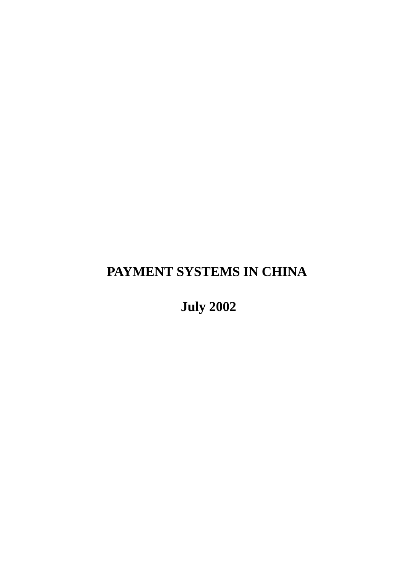# **PAYMENT SYSTEMS IN CHINA**

 **July 2002**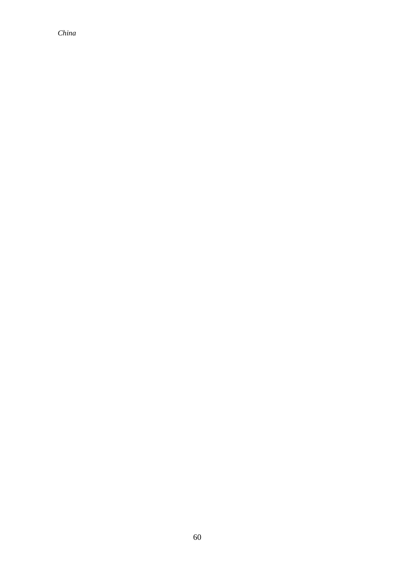*China*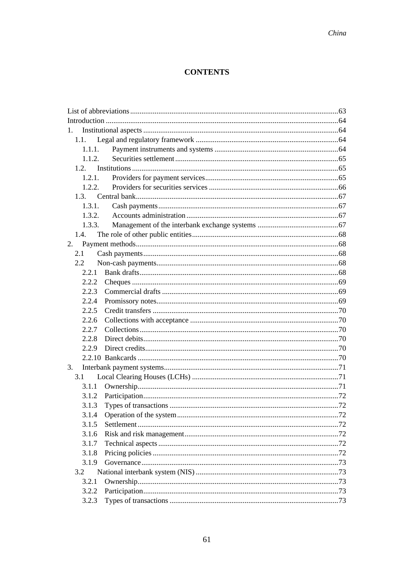### **CONTENTS**

| $1_{-}$ |  |
|---------|--|
| 1.1.    |  |
| 1.1.1.  |  |
| 1.1.2.  |  |
|         |  |
| 1.2.1.  |  |
| 1.2.2.  |  |
|         |  |
| 1.3.1.  |  |
| 1.3.2.  |  |
| 1.3.3.  |  |
| 1.4.    |  |
| 2.      |  |
| 2.1     |  |
| 2.2     |  |
| 2.2.1   |  |
| 2.2.2   |  |
| 2.2.3   |  |
| 2.2.4   |  |
| 2.2.5   |  |
| 2.2.6   |  |
| 2.2.7   |  |
| 2.2.8   |  |
| 2.2.9   |  |
|         |  |
| 3.      |  |
| 3.1     |  |
| 3.1.1   |  |
| 3.1.2   |  |
| 3.1.3   |  |
| 3.1.4   |  |
| 3.1.5   |  |
| 3.1.6   |  |
| 3.1.7   |  |
| 3.1.8   |  |
| 3.1.9   |  |
| 3.2     |  |
| 3.2.1   |  |
| 3.2.2   |  |
| 3.2.3   |  |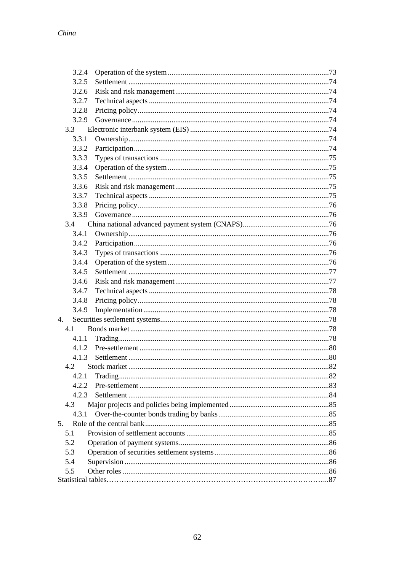| 3.2.4   |  |
|---------|--|
| 3.2.5   |  |
| 3.2.6   |  |
| 3.2.7   |  |
| 3.2.8   |  |
| 3.2.9   |  |
| $3.3 -$ |  |
| 3.3.1   |  |
| 3.3.2   |  |
| 3.3.3   |  |
| 3.3.4   |  |
| 3.3.5   |  |
| 3.3.6   |  |
| 3.3.7   |  |
| 3.3.8   |  |
| 3.3.9   |  |
| 3.4     |  |
| 3.4.1   |  |
| 3.4.2   |  |
| 3.4.3   |  |
| 3.4.4   |  |
| 3.4.5   |  |
| 3.4.6   |  |
| 3.4.7   |  |
| 3.4.8   |  |
| 3.4.9   |  |
| 4.      |  |
| 4.1     |  |
| 4.1.1   |  |
| 4.1.2   |  |
| 4.1.3   |  |
| 4.2     |  |
| 4.2.1   |  |
| 4.2.2   |  |
| 4.2.3   |  |
| 4.3     |  |
| 4.3.1   |  |
| 5.      |  |
| 5.1     |  |
| 5.2     |  |
| 5.3     |  |
| 5.4     |  |
| 5.5     |  |
|         |  |
|         |  |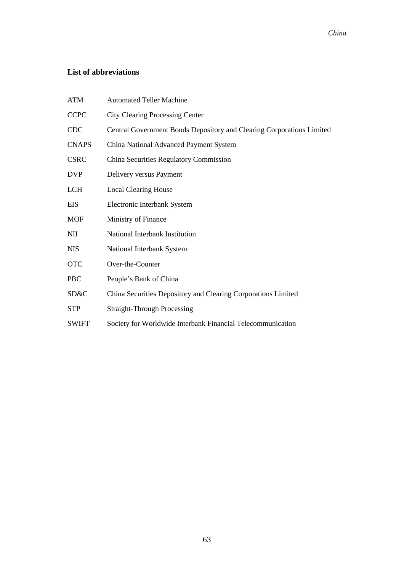### **List of abbreviations**

| <b>ATM</b>   | <b>Automated Teller Machine</b>                                       |
|--------------|-----------------------------------------------------------------------|
| <b>CCPC</b>  | <b>City Clearing Processing Center</b>                                |
| <b>CDC</b>   | Central Government Bonds Depository and Clearing Corporations Limited |
| <b>CNAPS</b> | China National Advanced Payment System                                |
| <b>CSRC</b>  | China Securities Regulatory Commission                                |
| <b>DVP</b>   | Delivery versus Payment                                               |
| <b>LCH</b>   | <b>Local Clearing House</b>                                           |
| <b>EIS</b>   | Electronic Interbank System                                           |
| <b>MOF</b>   | Ministry of Finance                                                   |
| <b>NII</b>   | National Interbank Institution                                        |
| <b>NIS</b>   | National Interbank System                                             |
| <b>OTC</b>   | Over-the-Counter                                                      |
| <b>PBC</b>   | People's Bank of China                                                |
| SD&C         | China Securities Depository and Clearing Corporations Limited         |
| <b>STP</b>   | <b>Straight-Through Processing</b>                                    |
| <b>SWIFT</b> | Society for Worldwide Interbank Financial Telecommunication           |
|              |                                                                       |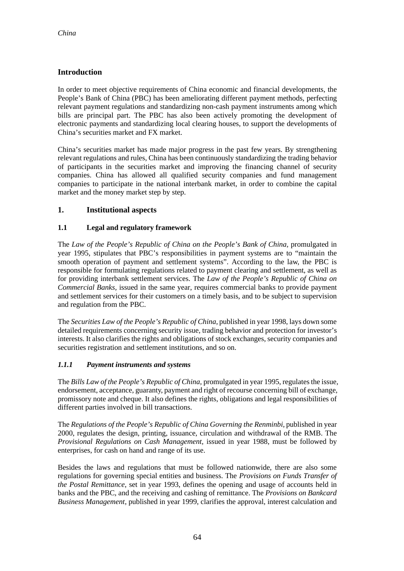### **Introduction**

In order to meet objective requirements of China economic and financial developments, the People's Bank of China (PBC) has been ameliorating different payment methods, perfecting relevant payment regulations and standardizing non-cash payment instruments among which bills are principal part. The PBC has also been actively promoting the development of electronic payments and standardizing local clearing houses, to support the developments of China's securities market and FX market.

China's securities market has made major progress in the past few years. By strengthening relevant regulations and rules, China has been continuously standardizing the trading behavior of participants in the securities market and improving the financing channel of security companies. China has allowed all qualified security companies and fund management companies to participate in the national interbank market, in order to combine the capital market and the money market step by step.

#### **1. Institutional aspects**

#### **1.1 Legal and regulatory framework**

The *Law of the People's Republic of China on the People's Bank of China,* promulgated in year 1995, stipulates that PBC's responsibilities in payment systems are to "maintain the smooth operation of payment and settlement systems". According to the law, the PBC is responsible for formulating regulations related to payment clearing and settlement, as well as for providing interbank settlement services. The *Law of the People's Republic of China on Commercial Banks,* issued in the same year, requires commercial banks to provide payment and settlement services for their customers on a timely basis, and to be subject to supervision and regulation from the PBC.

The *Securities Law of the People's Republic of China*, published in year 1998, lays down some detailed requirements concerning security issue, trading behavior and protection for investor's interests. It also clarifies the rights and obligations of stock exchanges, security companies and securities registration and settlement institutions, and so on.

#### *1.1.1 Payment instruments and systems*

The *Bills Law of the People's Republic of China,* promulgated in year 1995, regulates the issue, endorsement, acceptance, guaranty, payment and right of recourse concerning bill of exchange, promissory note and cheque. It also defines the rights, obligations and legal responsibilities of different parties involved in bill transactions.

The *Regulations of the People's Republic of China Governing the Renminbi*, published in year 2000, regulates the design, printing, issuance, circulation and withdrawal of the RMB. The *Provisional Regulations on Cash Management,* issued in year 1988, must be followed by enterprises, for cash on hand and range of its use.

Besides the laws and regulations that must be followed nationwide, there are also some regulations for governing special entities and business. The *Provisions on Funds Transfer of the Postal Remittance*, set in year 1993, defines the opening and usage of accounts held in banks and the PBC, and the receiving and cashing of remittance. The *Provisions on Bankcard Business Management*, published in year 1999, clarifies the approval, interest calculation and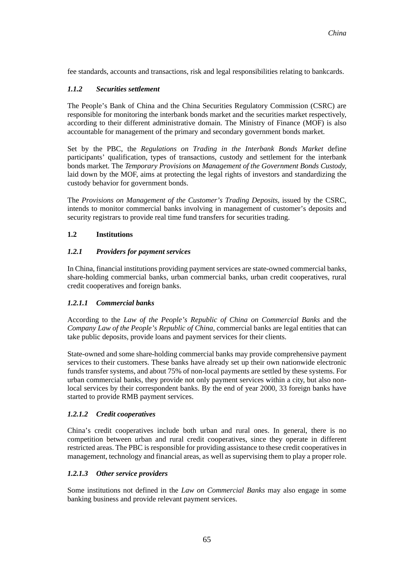fee standards, accounts and transactions, risk and legal responsibilities relating to bankcards.

#### *1.1.2 Securities settlement*

The People's Bank of China and the China Securities Regulatory Commission (CSRC) are responsible for monitoring the interbank bonds market and the securities market respectively, according to their different administrative domain. The Ministry of Finance (MOF) is also accountable for management of the primary and secondary government bonds market.

Set by the PBC, the *Regulations on Trading in the Interbank Bonds Market* define participants' qualification, types of transactions, custody and settlement for the interbank bonds market. The *Temporary Provisions on Management of the Government Bonds Custody,* laid down by the MOF, aims at protecting the legal rights of investors and standardizing the custody behavior for government bonds.

The *Provisions on Management of the Customer's Trading Deposits,* issued by the CSRC, intends to monitor commercial banks involving in management of customer's deposits and security registrars to provide real time fund transfers for securities trading.

#### **1.2 Institutions**

#### *1.2.1 Providers for payment services*

In China, financial institutions providing payment services are state-owned commercial banks, share-holding commercial banks, urban commercial banks, urban credit cooperatives, rural credit cooperatives and foreign banks.

#### *1.2.1.1 Commercial banks*

According to the *Law of the People's Republic of China on Commercial Banks* and the *Company Law of the People's Republic of China*, commercial banks are legal entities that can take public deposits, provide loans and payment services for their clients.

State-owned and some share-holding commercial banks may provide comprehensive payment services to their customers. These banks have already set up their own nationwide electronic funds transfer systems, and about 75% of non-local payments are settled by these systems. For urban commercial banks, they provide not only payment services within a city, but also nonlocal services by their correspondent banks. By the end of year 2000, 33 foreign banks have started to provide RMB payment services.

#### *1.2.1.2 Credit cooperatives*

China's credit cooperatives include both urban and rural ones. In general, there is no competition between urban and rural credit cooperatives, since they operate in different restricted areas. The PBC is responsible for providing assistance to these credit cooperatives in management, technology and financial areas, as well as supervising them to play a proper role.

#### *1.2.1.3 Other service providers*

Some institutions not defined in the *Law on Commercial Banks* may also engage in some banking business and provide relevant payment services.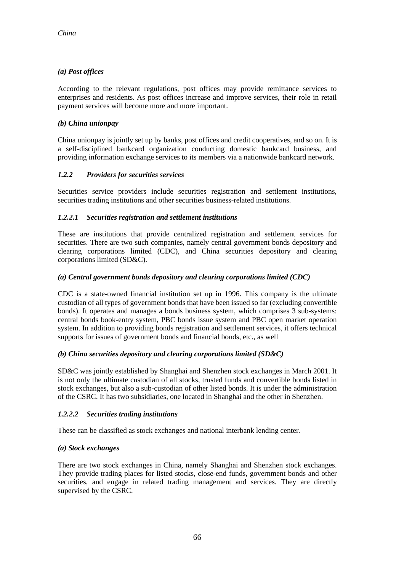#### *(a) Post offices*

According to the relevant regulations, post offices may provide remittance services to enterprises and residents. As post offices increase and improve services, their role in retail payment services will become more and more important.

#### *(b) China unionpay*

China unionpay is jointly set up by banks, post offices and credit cooperatives, and so on. It is a self-disciplined bankcard organization conducting domestic bankcard business, and providing information exchange services to its members via a nationwide bankcard network.

#### *1.2.2 Providers for securities services*

Securities service providers include securities registration and settlement institutions, securities trading institutions and other securities business-related institutions.

#### *1.2.2.1 Securities registration and settlement institutions*

These are institutions that provide centralized registration and settlement services for securities. There are two such companies, namely central government bonds depository and clearing corporations limited (CDC), and China securities depository and clearing corporations limited (SD&C).

#### *(a) Central government bonds depository and clearing corporations limited (CDC)*

CDC is a state-owned financial institution set up in 1996. This company is the ultimate custodian of all types of government bonds that have been issued so far (excluding convertible bonds). It operates and manages a bonds business system, which comprises 3 sub-systems: central bonds book-entry system, PBC bonds issue system and PBC open market operation system. In addition to providing bonds registration and settlement services, it offers technical supports for issues of government bonds and financial bonds, etc., as well

#### *(b) China securities depository and clearing corporations limited (SD&C)*

SD&C was jointly established by Shanghai and Shenzhen stock exchanges in March 2001. It is not only the ultimate custodian of all stocks, trusted funds and convertible bonds listed in stock exchanges, but also a sub-custodian of other listed bonds. It is under the administration of the CSRC. It has two subsidiaries, one located in Shanghai and the other in Shenzhen.

#### *1.2.2.2 Securities trading institutions*

These can be classified as stock exchanges and national interbank lending center.

#### *(a) Stock exchanges*

There are two stock exchanges in China, namely Shanghai and Shenzhen stock exchanges. They provide trading places for listed stocks, close-end funds, government bonds and other securities, and engage in related trading management and services. They are directly supervised by the CSRC.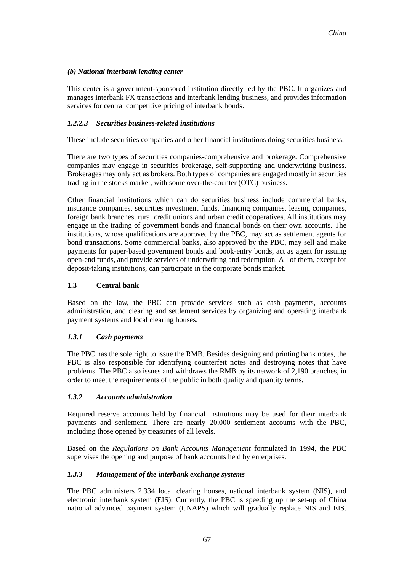#### *(b) National interbank lending center*

This center is a government-sponsored institution directly led by the PBC. It organizes and manages interbank FX transactions and interbank lending business, and provides information services for central competitive pricing of interbank bonds.

#### *1.2.2.3 Securities business-related institutions*

These include securities companies and other financial institutions doing securities business.

There are two types of securities companies-comprehensive and brokerage. Comprehensive companies may engage in securities brokerage, self-supporting and underwriting business. Brokerages may only act as brokers. Both types of companies are engaged mostly in securities trading in the stocks market, with some over-the-counter (OTC) business.

Other financial institutions which can do securities business include commercial banks, insurance companies, securities investment funds, financing companies, leasing companies, foreign bank branches, rural credit unions and urban credit cooperatives. All institutions may engage in the trading of government bonds and financial bonds on their own accounts. The institutions, whose qualifications are approved by the PBC, may act as settlement agents for bond transactions. Some commercial banks, also approved by the PBC, may sell and make payments for paper-based government bonds and book-entry bonds, act as agent for issuing open-end funds, and provide services of underwriting and redemption. All of them, except for deposit-taking institutions, can participate in the corporate bonds market.

#### **1.3 Central bank**

Based on the law, the PBC can provide services such as cash payments, accounts administration, and clearing and settlement services by organizing and operating interbank payment systems and local clearing houses.

#### *1.3.1 Cash payments*

The PBC has the sole right to issue the RMB. Besides designing and printing bank notes, the PBC is also responsible for identifying counterfeit notes and destroying notes that have problems. The PBC also issues and withdraws the RMB by its network of 2,190 branches, in order to meet the requirements of the public in both quality and quantity terms.

#### *1.3.2 Accounts administration*

Required reserve accounts held by financial institutions may be used for their interbank payments and settlement. There are nearly 20,000 settlement accounts with the PBC, including those opened by treasuries of all levels.

Based on the *Regulations on Bank Accounts Management* formulated in 1994, the PBC supervises the opening and purpose of bank accounts held by enterprises.

#### *1.3.3 Management of the interbank exchange systems*

The PBC administers 2,334 local clearing houses, national interbank system (NIS), and electronic interbank system (EIS). Currently, the PBC is speeding up the set-up of China national advanced payment system (CNAPS) which will gradually replace NIS and EIS.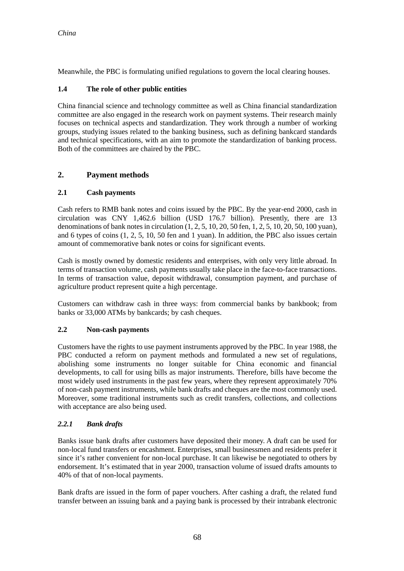Meanwhile, the PBC is formulating unified regulations to govern the local clearing houses.

#### **1.4 The role of other public entities**

China financial science and technology committee as well as China financial standardization committee are also engaged in the research work on payment systems. Their research mainly focuses on technical aspects and standardization. They work through a number of working groups, studying issues related to the banking business, such as defining bankcard standards and technical specifications, with an aim to promote the standardization of banking process. Both of the committees are chaired by the PBC.

### **2. Payment methods**

#### **2.1 Cash payments**

Cash refers to RMB bank notes and coins issued by the PBC. By the year-end 2000, cash in circulation was CNY 1,462.6 billion (USD 176.7 billion). Presently, there are 13 denominations of bank notes in circulation (1, 2, 5, 10, 20, 50 fen, 1, 2, 5, 10, 20, 50, 100 yuan), and 6 types of coins (1, 2, 5, 10, 50 fen and 1 yuan). In addition, the PBC also issues certain amount of commemorative bank notes or coins for significant events.

Cash is mostly owned by domestic residents and enterprises, with only very little abroad. In terms of transaction volume, cash payments usually take place in the face-to-face transactions. In terms of transaction value, deposit withdrawal, consumption payment, and purchase of agriculture product represent quite a high percentage.

Customers can withdraw cash in three ways: from commercial banks by bankbook; from banks or 33,000 ATMs by bankcards; by cash cheques.

#### **2.2 Non-cash payments**

Customers have the rights to use payment instruments approved by the PBC. In year 1988, the PBC conducted a reform on payment methods and formulated a new set of regulations, abolishing some instruments no longer suitable for China economic and financial developments, to call for using bills as major instruments. Therefore, bills have become the most widely used instruments in the past few years, where they represent approximately 70% of non-cash payment instruments, while bank drafts and cheques are the most commonly used. Moreover, some traditional instruments such as credit transfers, collections, and collections with acceptance are also being used.

#### *2.2.1 Bank drafts*

Banks issue bank drafts after customers have deposited their money. A draft can be used for non-local fund transfers or encashment. Enterprises, small businessmen and residents prefer it since it's rather convenient for non-local purchase. It can likewise be negotiated to others by endorsement. It's estimated that in year 2000, transaction volume of issued drafts amounts to 40% of that of non-local payments.

Bank drafts are issued in the form of paper vouchers. After cashing a draft, the related fund transfer between an issuing bank and a paying bank is processed by their intrabank electronic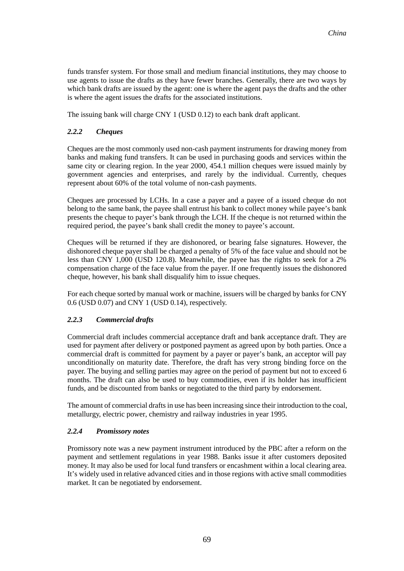funds transfer system. For those small and medium financial institutions, they may choose to use agents to issue the drafts as they have fewer branches. Generally, there are two ways by which bank drafts are issued by the agent: one is where the agent pays the drafts and the other is where the agent issues the drafts for the associated institutions.

The issuing bank will charge CNY 1 (USD 0.12) to each bank draft applicant.

#### *2.2.2 Cheques*

Cheques are the most commonly used non-cash payment instruments for drawing money from banks and making fund transfers. It can be used in purchasing goods and services within the same city or clearing region. In the year 2000, 454.1 million cheques were issued mainly by government agencies and enterprises, and rarely by the individual. Currently, cheques represent about 60% of the total volume of non-cash payments.

Cheques are processed by LCHs. In a case a payer and a payee of a issued cheque do not belong to the same bank, the payee shall entrust his bank to collect money while payee's bank presents the cheque to payer's bank through the LCH. If the cheque is not returned within the required period, the payee's bank shall credit the money to payee's account.

Cheques will be returned if they are dishonored, or bearing false signatures. However, the dishonored cheque payer shall be charged a penalty of 5% of the face value and should not be less than CNY 1,000 (USD 120.8). Meanwhile, the payee has the rights to seek for a 2% compensation charge of the face value from the payer. If one frequently issues the dishonored cheque, however, his bank shall disqualify him to issue cheques.

For each cheque sorted by manual work or machine, issuers will be charged by banks for CNY 0.6 (USD 0.07) and CNY 1 (USD 0.14), respectively.

#### *2.2.3 Commercial drafts*

Commercial draft includes commercial acceptance draft and bank acceptance draft. They are used for payment after delivery or postponed payment as agreed upon by both parties. Once a commercial draft is committed for payment by a payer or payer's bank, an acceptor will pay unconditionally on maturity date. Therefore, the draft has very strong binding force on the payer. The buying and selling parties may agree on the period of payment but not to exceed 6 months. The draft can also be used to buy commodities, even if its holder has insufficient funds, and be discounted from banks or negotiated to the third party by endorsement.

The amount of commercial drafts in use has been increasing since their introduction to the coal, metallurgy, electric power, chemistry and railway industries in year 1995.

#### *2.2.4 Promissory notes*

Promissory note was a new payment instrument introduced by the PBC after a reform on the payment and settlement regulations in year 1988. Banks issue it after customers deposited money. It may also be used for local fund transfers or encashment within a local clearing area. It's widely used in relative advanced cities and in those regions with active small commodities market. It can be negotiated by endorsement.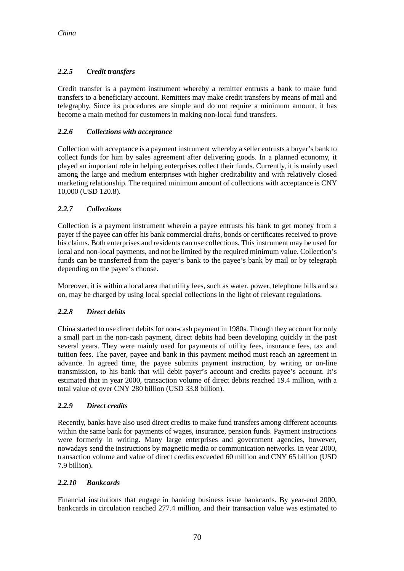### *2.2.5 Credit transfers*

Credit transfer is a payment instrument whereby a remitter entrusts a bank to make fund transfers to a beneficiary account. Remitters may make credit transfers by means of mail and telegraphy. Since its procedures are simple and do not require a minimum amount, it has become a main method for customers in making non-local fund transfers.

#### *2.2.6 Collections with acceptance*

Collection with acceptance is a payment instrument whereby a seller entrusts a buyer's bank to collect funds for him by sales agreement after delivering goods. In a planned economy, it played an important role in helping enterprises collect their funds. Currently, it is mainly used among the large and medium enterprises with higher creditability and with relatively closed marketing relationship. The required minimum amount of collections with acceptance is CNY 10,000 (USD 120.8).

#### *2.2.7 Collections*

Collection is a payment instrument wherein a payee entrusts his bank to get money from a payer if the payee can offer his bank commercial drafts, bonds or certificates received to prove his claims. Both enterprises and residents can use collections. This instrument may be used for local and non-local payments, and not be limited by the required minimum value. Collection's funds can be transferred from the payer's bank to the payee's bank by mail or by telegraph depending on the payee's choose.

Moreover, it is within a local area that utility fees, such as water, power, telephone bills and so on, may be charged by using local special collections in the light of relevant regulations.

#### *2.2.8 Direct debits*

China started to use direct debits for non-cash payment in 1980s. Though they account for only a small part in the non-cash payment, direct debits had been developing quickly in the past several years. They were mainly used for payments of utility fees, insurance fees, tax and tuition fees. The payer, payee and bank in this payment method must reach an agreement in advance. In agreed time, the payee submits payment instruction, by writing or on-line transmission, to his bank that will debit payer's account and credits payee's account. It's estimated that in year 2000, transaction volume of direct debits reached 19.4 million, with a total value of over CNY 280 billion (USD 33.8 billion).

#### *2.2.9 Direct credits*

Recently, banks have also used direct credits to make fund transfers among different accounts within the same bank for payments of wages, insurance, pension funds. Payment instructions were formerly in writing. Many large enterprises and government agencies, however, nowadays send the instructions by magnetic media or communication networks. In year 2000, transaction volume and value of direct credits exceeded 60 million and CNY 65 billion (USD 7.9 billion).

#### *2.2.10 Bankcards*

Financial institutions that engage in banking business issue bankcards. By year-end 2000, bankcards in circulation reached 277.4 million, and their transaction value was estimated to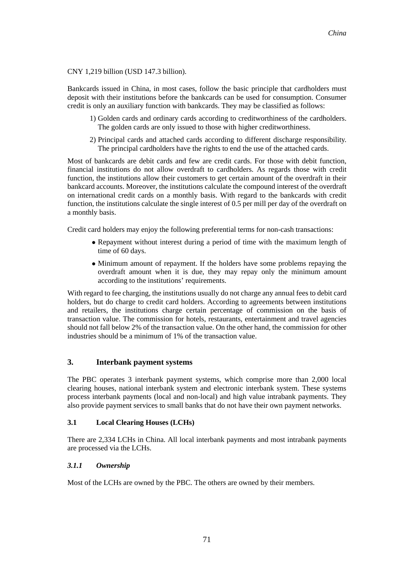#### CNY 1,219 billion (USD 147.3 billion).

Bankcards issued in China, in most cases, follow the basic principle that cardholders must deposit with their institutions before the bankcards can be used for consumption. Consumer credit is only an auxiliary function with bankcards. They may be classified as follows:

- 1) Golden cards and ordinary cards according to creditworthiness of the cardholders. The golden cards are only issued to those with higher creditworthiness.
- 2) Principal cards and attached cards according to different discharge responsibility. The principal cardholders have the rights to end the use of the attached cards.

Most of bankcards are debit cards and few are credit cards. For those with debit function, financial institutions do not allow overdraft to cardholders. As regards those with credit function, the institutions allow their customers to get certain amount of the overdraft in their bankcard accounts. Moreover, the institutions calculate the compound interest of the overdraft on international credit cards on a monthly basis. With regard to the bankcards with credit function, the institutions calculate the single interest of 0.5 per mill per day of the overdraft on a monthly basis.

Credit card holders may enjoy the following preferential terms for non-cash transactions:

- Repayment without interest during a period of time with the maximum length of time of 60 days.
- Minimum amount of repayment. If the holders have some problems repaying the overdraft amount when it is due, they may repay only the minimum amount according to the institutions' requirements.

With regard to fee charging, the institutions usually do not charge any annual fees to debit card holders, but do charge to credit card holders. According to agreements between institutions and retailers, the institutions charge certain percentage of commission on the basis of transaction value. The commission for hotels, restaurants, entertainment and travel agencies should not fall below 2% of the transaction value. On the other hand, the commission for other industries should be a minimum of 1% of the transaction value.

#### **3. Interbank payment systems**

The PBC operates 3 interbank payment systems, which comprise more than 2,000 local clearing houses, national interbank system and electronic interbank system. These systems process interbank payments (local and non-local) and high value intrabank payments. They also provide payment services to small banks that do not have their own payment networks.

#### **3.1 Local Clearing Houses (LCHs)**

There are 2,334 LCHs in China. All local interbank payments and most intrabank payments are processed via the LCHs.

#### *3.1.1 Ownership*

Most of the LCHs are owned by the PBC. The others are owned by their members.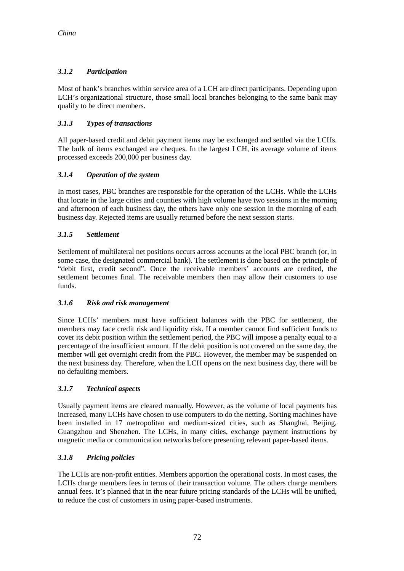### *3.1.2 Participation*

Most of bank's branches within service area of a LCH are direct participants. Depending upon LCH's organizational structure, those small local branches belonging to the same bank may qualify to be direct members.

### *3.1.3 Types of transactions*

All paper-based credit and debit payment items may be exchanged and settled via the LCHs. The bulk of items exchanged are cheques. In the largest LCH, its average volume of items processed exceeds 200,000 per business day.

### *3.1.4 Operation of the system*

In most cases, PBC branches are responsible for the operation of the LCHs. While the LCHs that locate in the large cities and counties with high volume have two sessions in the morning and afternoon of each business day, the others have only one session in the morning of each business day. Rejected items are usually returned before the next session starts.

#### *3.1.5 Settlement*

Settlement of multilateral net positions occurs across accounts at the local PBC branch (or, in some case, the designated commercial bank). The settlement is done based on the principle of "debit first, credit second". Once the receivable members' accounts are credited, the settlement becomes final. The receivable members then may allow their customers to use funds.

#### *3.1.6 Risk and risk management*

Since LCHs' members must have sufficient balances with the PBC for settlement, the members may face credit risk and liquidity risk. If a member cannot find sufficient funds to cover its debit position within the settlement period, the PBC will impose a penalty equal to a percentage of the insufficient amount. If the debit position is not covered on the same day, the member will get overnight credit from the PBC. However, the member may be suspended on the next business day. Therefore, when the LCH opens on the next business day, there will be no defaulting members.

#### *3.1.7 Technical aspects*

Usually payment items are cleared manually. However, as the volume of local payments has increased, many LCHs have chosen to use computers to do the netting. Sorting machines have been installed in 17 metropolitan and medium-sized cities, such as Shanghai, Beijing, Guangzhou and Shenzhen. The LCHs, in many cities, exchange payment instructions by magnetic media or communication networks before presenting relevant paper-based items.

#### *3.1.8 Pricing policies*

The LCHs are non-profit entities. Members apportion the operational costs. In most cases, the LCHs charge members fees in terms of their transaction volume. The others charge members annual fees. It's planned that in the near future pricing standards of the LCHs will be unified, to reduce the cost of customers in using paper-based instruments.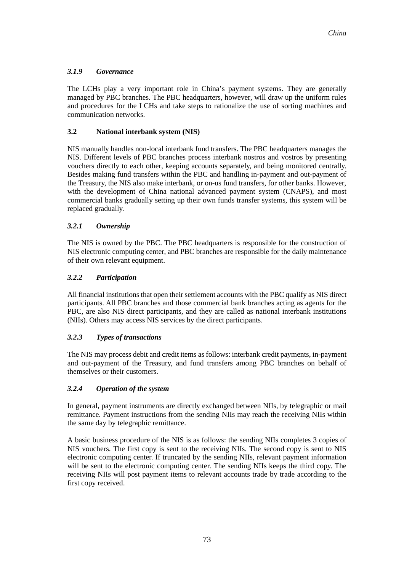#### *3.1.9 Governance*

The LCHs play a very important role in China's payment systems. They are generally managed by PBC branches. The PBC headquarters, however, will draw up the uniform rules and procedures for the LCHs and take steps to rationalize the use of sorting machines and communication networks.

#### **3.2 National interbank system (NIS)**

NIS manually handles non-local interbank fund transfers. The PBC headquarters manages the NIS. Different levels of PBC branches process interbank nostros and vostros by presenting vouchers directly to each other, keeping accounts separately, and being monitored centrally. Besides making fund transfers within the PBC and handling in-payment and out-payment of the Treasury, the NIS also make interbank, or on-us fund transfers, for other banks. However, with the development of China national advanced payment system (CNAPS), and most commercial banks gradually setting up their own funds transfer systems, this system will be replaced gradually.

#### *3.2.1 Ownership*

The NIS is owned by the PBC. The PBC headquarters is responsible for the construction of NIS electronic computing center, and PBC branches are responsible for the daily maintenance of their own relevant equipment.

#### *3.2.2 Participation*

All financial institutions that open their settlement accounts with the PBC qualify as NIS direct participants. All PBC branches and those commercial bank branches acting as agents for the PBC, are also NIS direct participants, and they are called as national interbank institutions (NIIs). Others may access NIS services by the direct participants.

#### *3.2.3 Types of transactions*

The NIS may process debit and credit items as follows: interbank credit payments, in-payment and out-payment of the Treasury, and fund transfers among PBC branches on behalf of themselves or their customers.

#### *3.2.4 Operation of the system*

In general, payment instruments are directly exchanged between NIIs, by telegraphic or mail remittance. Payment instructions from the sending NIIs may reach the receiving NIIs within the same day by telegraphic remittance.

A basic business procedure of the NIS is as follows: the sending NIIs completes 3 copies of NIS vouchers. The first copy is sent to the receiving NIIs. The second copy is sent to NIS electronic computing center. If truncated by the sending NIIs, relevant payment information will be sent to the electronic computing center. The sending NIIs keeps the third copy. The receiving NIIs will post payment items to relevant accounts trade by trade according to the first copy received.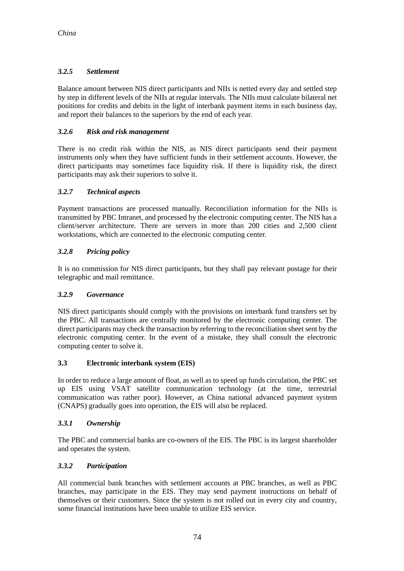### *3.2.5 Settlement*

Balance amount between NIS direct participants and NIIs is netted every day and settled step by step in different levels of the NIIs at regular intervals. The NIIs must calculate bilateral net positions for credits and debits in the light of interbank payment items in each business day, and report their balances to the superiors by the end of each year.

#### *3.2.6 Risk and risk management*

There is no credit risk within the NIS, as NIS direct participants send their payment instruments only when they have sufficient funds in their settlement accounts. However, the direct participants may sometimes face liquidity risk. If there is liquidity risk, the direct participants may ask their superiors to solve it.

#### *3.2.7 Technical aspects*

Payment transactions are processed manually. Reconciliation information for the NIIs is transmitted by PBC Intranet, and processed by the electronic computing center. The NIS has a client/server architecture. There are servers in more than 200 cities and 2,500 client workstations, which are connected to the electronic computing center.

#### *3.2.8 Pricing policy*

It is no commission for NIS direct participants, but they shall pay relevant postage for their telegraphic and mail remittance.

#### *3.2.9 Governance*

NIS direct participants should comply with the provisions on interbank fund transfers set by the PBC. All transactions are centrally monitored by the electronic computing center. The direct participants may check the transaction by referring to the reconciliation sheet sent by the electronic computing center. In the event of a mistake, they shall consult the electronic computing center to solve it.

#### **3.3 Electronic interbank system (EIS)**

In order to reduce a large amount of float, as well as to speed up funds circulation, the PBC set up EIS using VSAT satellite communication technology (at the time, terrestrial communication was rather poor). However, as China national advanced payment system (CNAPS) gradually goes into operation, the EIS will also be replaced.

#### *3.3.1 Ownership*

The PBC and commercial banks are co-owners of the EIS. The PBC is its largest shareholder and operates the system.

#### *3.3.2 Participation*

All commercial bank branches with settlement accounts at PBC branches, as well as PBC branches, may participate in the EIS. They may send payment instructions on behalf of themselves or their customers. Since the system is not rolled out in every city and country, some financial institutions have been unable to utilize EIS service.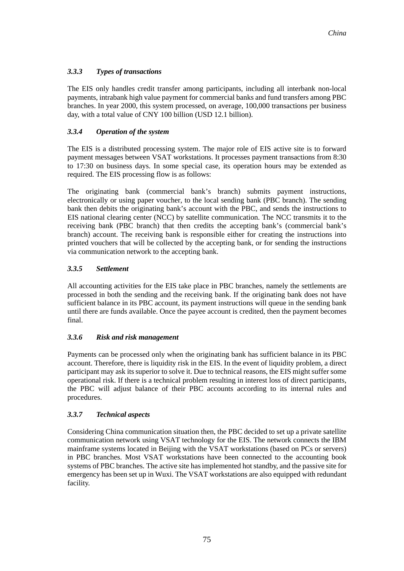#### *3.3.3 Types of transactions*

The EIS only handles credit transfer among participants, including all interbank non-local payments, intrabank high value payment for commercial banks and fund transfers among PBC branches. In year 2000, this system processed, on average, 100,000 transactions per business day, with a total value of CNY 100 billion (USD 12.1 billion).

#### *3.3.4 Operation of the system*

The EIS is a distributed processing system. The major role of EIS active site is to forward payment messages between VSAT workstations. It processes payment transactions from 8:30 to 17:30 on business days. In some special case, its operation hours may be extended as required. The EIS processing flow is as follows:

The originating bank (commercial bank's branch) submits payment instructions, electronically or using paper voucher, to the local sending bank (PBC branch). The sending bank then debits the originating bank's account with the PBC, and sends the instructions to EIS national clearing center (NCC) by satellite communication. The NCC transmits it to the receiving bank (PBC branch) that then credits the accepting bank's (commercial bank's branch) account. The receiving bank is responsible either for creating the instructions into printed vouchers that will be collected by the accepting bank, or for sending the instructions via communication network to the accepting bank.

#### *3.3.5 Settlement*

All accounting activities for the EIS take place in PBC branches, namely the settlements are processed in both the sending and the receiving bank. If the originating bank does not have sufficient balance in its PBC account, its payment instructions will queue in the sending bank until there are funds available. Once the payee account is credited, then the payment becomes final.

#### *3.3.6 Risk and risk management*

Payments can be processed only when the originating bank has sufficient balance in its PBC account. Therefore, there is liquidity risk in the EIS. In the event of liquidity problem, a direct participant may ask its superior to solve it. Due to technical reasons, the EIS might suffer some operational risk. If there is a technical problem resulting in interest loss of direct participants, the PBC will adjust balance of their PBC accounts according to its internal rules and procedures.

#### *3.3.7 Technical aspects*

Considering China communication situation then, the PBC decided to set up a private satellite communication network using VSAT technology for the EIS. The network connects the IBM mainframe systems located in Beijing with the VSAT workstations (based on PCs or servers) in PBC branches. Most VSAT workstations have been connected to the accounting book systems of PBC branches. The active site has implemented hot standby, and the passive site for emergency has been set up in Wuxi. The VSAT workstations are also equipped with redundant facility.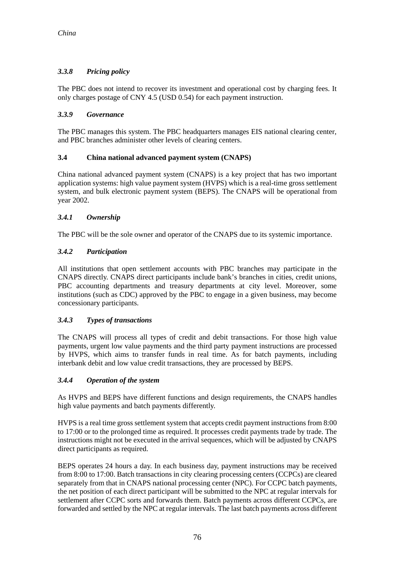### *3.3.8 Pricing policy*

The PBC does not intend to recover its investment and operational cost by charging fees. It only charges postage of CNY 4.5 (USD 0.54) for each payment instruction.

#### *3.3.9 Governance*

The PBC manages this system. The PBC headquarters manages EIS national clearing center, and PBC branches administer other levels of clearing centers.

#### **3.4 China national advanced payment system (CNAPS)**

China national advanced payment system (CNAPS) is a key project that has two important application systems: high value payment system (HVPS) which is a real-time gross settlement system, and bulk electronic payment system (BEPS). The CNAPS will be operational from year 2002.

### *3.4.1 Ownership*

The PBC will be the sole owner and operator of the CNAPS due to its systemic importance.

### *3.4.2 Participation*

All institutions that open settlement accounts with PBC branches may participate in the CNAPS directly. CNAPS direct participants include bank's branches in cities, credit unions, PBC accounting departments and treasury departments at city level. Moreover, some institutions (such as CDC) approved by the PBC to engage in a given business, may become concessionary participants.

### *3.4.3 Types of transactions*

The CNAPS will process all types of credit and debit transactions. For those high value payments, urgent low value payments and the third party payment instructions are processed by HVPS, which aims to transfer funds in real time. As for batch payments, including interbank debit and low value credit transactions, they are processed by BEPS.

#### *3.4.4 Operation of the system*

As HVPS and BEPS have different functions and design requirements, the CNAPS handles high value payments and batch payments differently.

HVPS is a real time gross settlement system that accepts credit payment instructions from 8:00 to 17:00 or to the prolonged time as required. It processes credit payments trade by trade. The instructions might not be executed in the arrival sequences, which will be adjusted by CNAPS direct participants as required.

BEPS operates 24 hours a day. In each business day, payment instructions may be received from 8:00 to 17:00. Batch transactions in city clearing processing centers (CCPCs) are cleared separately from that in CNAPS national processing center (NPC). For CCPC batch payments, the net position of each direct participant will be submitted to the NPC at regular intervals for settlement after CCPC sorts and forwards them. Batch payments across different CCPCs, are forwarded and settled by the NPC at regular intervals. The last batch payments across different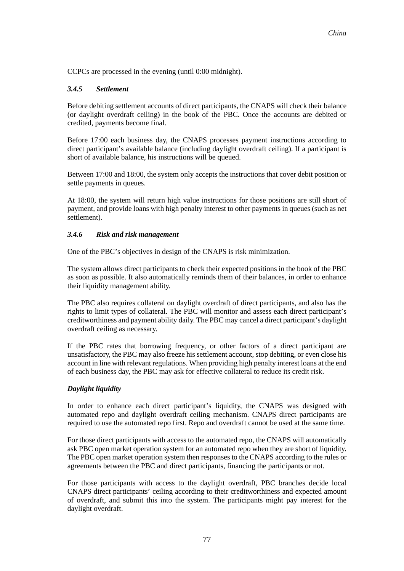CCPCs are processed in the evening (until 0:00 midnight).

#### *3.4.5 Settlement*

Before debiting settlement accounts of direct participants, the CNAPS will check their balance (or daylight overdraft ceiling) in the book of the PBC. Once the accounts are debited or credited, payments become final.

Before 17:00 each business day, the CNAPS processes payment instructions according to direct participant's available balance (including daylight overdraft ceiling). If a participant is short of available balance, his instructions will be queued.

Between 17:00 and 18:00, the system only accepts the instructions that cover debit position or settle payments in queues.

At 18:00, the system will return high value instructions for those positions are still short of payment, and provide loans with high penalty interest to other payments in queues (such as net settlement).

#### *3.4.6 Risk and risk management*

One of the PBC's objectives in design of the CNAPS is risk minimization.

The system allows direct participants to check their expected positions in the book of the PBC as soon as possible. It also automatically reminds them of their balances, in order to enhance their liquidity management ability.

The PBC also requires collateral on daylight overdraft of direct participants, and also has the rights to limit types of collateral. The PBC will monitor and assess each direct participant's creditworthiness and payment ability daily. The PBC may cancel a direct participant's daylight overdraft ceiling as necessary.

If the PBC rates that borrowing frequency, or other factors of a direct participant are unsatisfactory, the PBC may also freeze his settlement account, stop debiting, or even close his account in line with relevant regulations. When providing high penalty interest loans at the end of each business day, the PBC may ask for effective collateral to reduce its credit risk.

#### *Daylight liquidity*

In order to enhance each direct participant's liquidity, the CNAPS was designed with automated repo and daylight overdraft ceiling mechanism. CNAPS direct participants are required to use the automated repo first. Repo and overdraft cannot be used at the same time.

For those direct participants with access to the automated repo, the CNAPS will automatically ask PBC open market operation system for an automated repo when they are short of liquidity. The PBC open market operation system then responses to the CNAPS according to the rules or agreements between the PBC and direct participants, financing the participants or not.

For those participants with access to the daylight overdraft, PBC branches decide local CNAPS direct participants' ceiling according to their creditworthiness and expected amount of overdraft, and submit this into the system. The participants might pay interest for the daylight overdraft.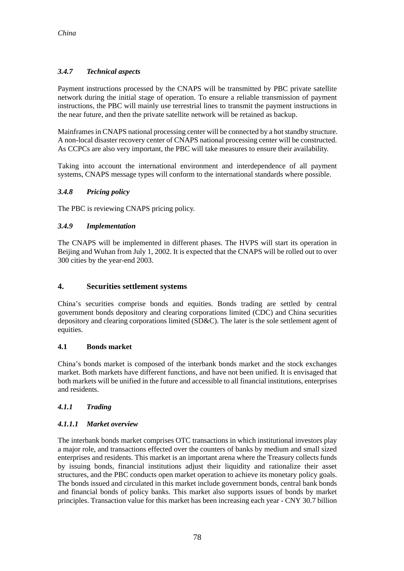### *3.4.7 Technical aspects*

Payment instructions processed by the CNAPS will be transmitted by PBC private satellite network during the initial stage of operation. To ensure a reliable transmission of payment instructions, the PBC will mainly use terrestrial lines to transmit the payment instructions in the near future, and then the private satellite network will be retained as backup.

Mainframes in CNAPS national processing center will be connected by a hot standby structure. A non-local disaster recovery center of CNAPS national processing center will be constructed. As CCPCs are also very important, the PBC will take measures to ensure their availability.

Taking into account the international environment and interdependence of all payment systems, CNAPS message types will conform to the international standards where possible.

#### *3.4.8 Pricing policy*

The PBC is reviewing CNAPS pricing policy.

#### *3.4.9 Implementation*

The CNAPS will be implemented in different phases. The HVPS will start its operation in Beijing and Wuhan from July 1, 2002. It is expected that the CNAPS will be rolled out to over 300 cities by the year-end 2003.

#### **4. Securities settlement systems**

China's securities comprise bonds and equities. Bonds trading are settled by central government bonds depository and clearing corporations limited (CDC) and China securities depository and clearing corporations limited (SD&C). The later is the sole settlement agent of equities.

#### **4.1 Bonds market**

China's bonds market is composed of the interbank bonds market and the stock exchanges market. Both markets have different functions, and have not been unified. It is envisaged that both markets will be unified in the future and accessible to all financial institutions, enterprises and residents.

#### *4.1.1 Trading*

#### *4.1.1.1 Market overview*

The interbank bonds market comprises OTC transactions in which institutional investors play a major role, and transactions effected over the counters of banks by medium and small sized enterprises and residents. This market is an important arena where the Treasury collects funds by issuing bonds, financial institutions adjust their liquidity and rationalize their asset structures, and the PBC conducts open market operation to achieve its monetary policy goals. The bonds issued and circulated in this market include government bonds, central bank bonds and financial bonds of policy banks. This market also supports issues of bonds by market principles. Transaction value for this market has been increasing each year - CNY 30.7 billion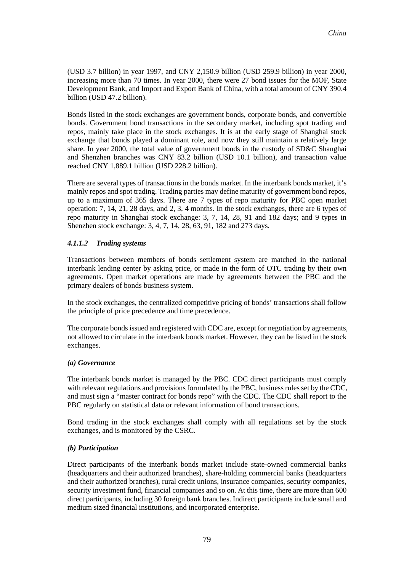(USD 3.7 billion) in year 1997, and CNY 2,150.9 billion (USD 259.9 billion) in year 2000, increasing more than 70 times. In year 2000, there were 27 bond issues for the MOF, State Development Bank, and Import and Export Bank of China, with a total amount of CNY 390.4 billion (USD 47.2 billion).

Bonds listed in the stock exchanges are government bonds, corporate bonds, and convertible bonds. Government bond transactions in the secondary market, including spot trading and repos, mainly take place in the stock exchanges. It is at the early stage of Shanghai stock exchange that bonds played a dominant role, and now they still maintain a relatively large share. In year 2000, the total value of government bonds in the custody of SD&C Shanghai and Shenzhen branches was CNY 83.2 billion (USD 10.1 billion), and transaction value reached CNY 1,889.1 billion (USD 228.2 billion).

There are several types of transactions in the bonds market. In the interbank bonds market, it's mainly repos and spot trading. Trading parties may define maturity of government bond repos, up to a maximum of 365 days. There are 7 types of repo maturity for PBC open market operation: 7, 14, 21, 28 days, and 2, 3, 4 months. In the stock exchanges, there are 6 types of repo maturity in Shanghai stock exchange: 3, 7, 14, 28, 91 and 182 days; and 9 types in Shenzhen stock exchange: 3, 4, 7, 14, 28, 63, 91, 182 and 273 days.

#### *4.1.1.2 Trading systems*

Transactions between members of bonds settlement system are matched in the national interbank lending center by asking price, or made in the form of OTC trading by their own agreements. Open market operations are made by agreements between the PBC and the primary dealers of bonds business system.

In the stock exchanges, the centralized competitive pricing of bonds' transactions shall follow the principle of price precedence and time precedence.

The corporate bonds issued and registered with CDC are, except for negotiation by agreements, not allowed to circulate in the interbank bonds market. However, they can be listed in the stock exchanges.

#### *(a) Governance*

The interbank bonds market is managed by the PBC. CDC direct participants must comply with relevant regulations and provisions formulated by the PBC, business rules set by the CDC, and must sign a "master contract for bonds repo" with the CDC. The CDC shall report to the PBC regularly on statistical data or relevant information of bond transactions.

Bond trading in the stock exchanges shall comply with all regulations set by the stock exchanges, and is monitored by the CSRC.

#### *(b) Participation*

Direct participants of the interbank bonds market include state-owned commercial banks (headquarters and their authorized branches), share-holding commercial banks (headquarters and their authorized branches), rural credit unions, insurance companies, security companies, security investment fund, financial companies and so on. At this time, there are more than 600 direct participants, including 30 foreign bank branches. Indirect participants include small and medium sized financial institutions, and incorporated enterprise.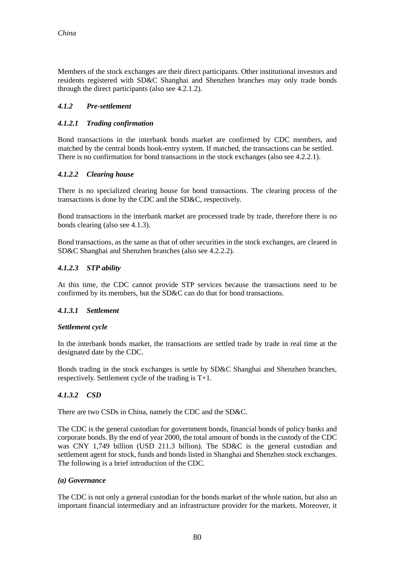Members of the stock exchanges are their direct participants. Other institutional investors and residents registered with SD&C Shanghai and Shenzhen branches may only trade bonds through the direct participants (also see 4.2.1.2).

#### *4.1.2 Pre-settlement*

#### *4.1.2.1 Trading confirmation*

Bond transactions in the interbank bonds market are confirmed by CDC members, and matched by the central bonds book-entry system. If matched, the transactions can be settled. There is no confirmation for bond transactions in the stock exchanges (also see 4.2.2.1).

#### *4.1.2.2 Clearing house*

There is no specialized clearing house for bond transactions. The clearing process of the transactions is done by the CDC and the SD&C, respectively.

Bond transactions in the interbank market are processed trade by trade, therefore there is no bonds clearing (also see 4.1.3).

Bond transactions, as the same as that of other securities in the stock exchanges, are cleared in SD&C Shanghai and Shenzhen branches (also see 4.2.2.2).

#### *4.1.2.3 STP ability*

At this time, the CDC cannot provide STP services because the transactions need to be confirmed by its members, but the SD&C can do that for bond transactions.

#### *4.1.3.1 Settlement*

#### *Settlement cycle*

In the interbank bonds market, the transactions are settled trade by trade in real time at the designated date by the CDC.

Bonds trading in the stock exchanges is settle by SD&C Shanghai and Shenzhen branches, respectively. Settlement cycle of the trading is T+1.

#### *4.1.3.2 CSD*

There are two CSDs in China, namely the CDC and the SD&C.

The CDC is the general custodian for government bonds, financial bonds of policy banks and corporate bonds. By the end of year 2000, the total amount of bonds in the custody of the CDC was CNY 1,749 billion (USD 211.3 billion). The SD&C is the general custodian and settlement agent for stock, funds and bonds listed in Shanghai and Shenzhen stock exchanges. The following is a brief introduction of the CDC.

#### *(a) Governance*

The CDC is not only a general custodian for the bonds market of the whole nation, but also an important financial intermediary and an infrastructure provider for the markets. Moreover, it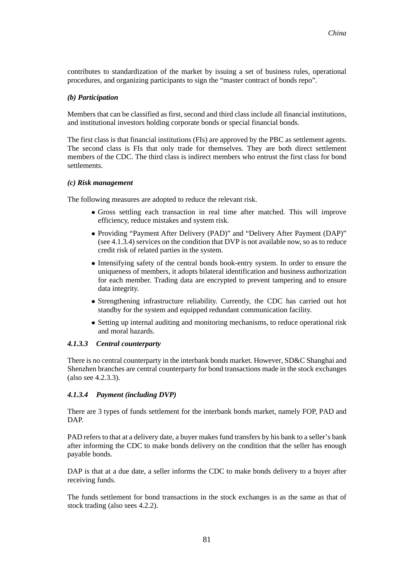contributes to standardization of the market by issuing a set of business rules, operational procedures, and organizing participants to sign the "master contract of bonds repo".

#### *(b) Participation*

Members that can be classified as first, second and third class include all financial institutions, and institutional investors holding corporate bonds or special financial bonds.

The first class is that financial institutions (FIs) are approved by the PBC as settlement agents. The second class is FIs that only trade for themselves. They are both direct settlement members of the CDC. The third class is indirect members who entrust the first class for bond settlements.

#### *(c) Risk management*

The following measures are adopted to reduce the relevant risk.

- <sup>l</sup> Gross settling each transaction in real time after matched. This will improve efficiency, reduce mistakes and system risk.
- Providing "Payment After Delivery (PAD)" and "Delivery After Payment (DAP)" (see 4.1.3.4) services on the condition that DVP is not available now, so as to reduce credit risk of related parties in the system.
- Intensifying safety of the central bonds book-entry system. In order to ensure the uniqueness of members, it adopts bilateral identification and business authorization for each member. Trading data are encrypted to prevent tampering and to ensure data integrity.
- Strengthening infrastructure reliability. Currently, the CDC has carried out hot standby for the system and equipped redundant communication facility.
- Setting up internal auditing and monitoring mechanisms, to reduce operational risk and moral hazards.

#### *4.1.3.3 Central counterparty*

There is no central counterparty in the interbank bonds market. However, SD&C Shanghai and Shenzhen branches are central counterparty for bond transactions made in the stock exchanges (also see 4.2.3.3).

#### *4.1.3.4 Payment (including DVP)*

There are 3 types of funds settlement for the interbank bonds market, namely FOP, PAD and DAP.

PAD refers to that at a delivery date, a buyer makes fund transfers by his bank to a seller's bank after informing the CDC to make bonds delivery on the condition that the seller has enough payable bonds.

DAP is that at a due date, a seller informs the CDC to make bonds delivery to a buyer after receiving funds.

The funds settlement for bond transactions in the stock exchanges is as the same as that of stock trading (also sees 4.2.2).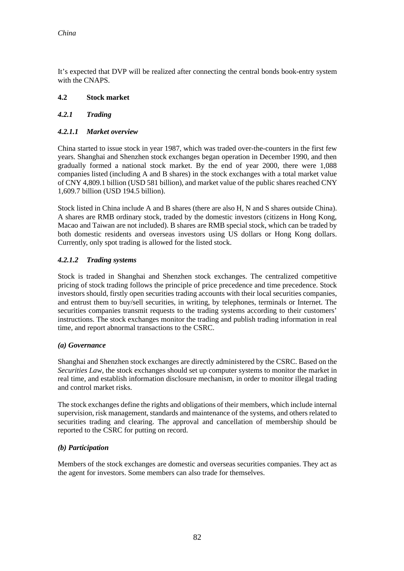It's expected that DVP will be realized after connecting the central bonds book-entry system with the CNAPS.

#### **4.2 Stock market**

#### *4.2.1 Trading*

#### *4.2.1.1 Market overview*

China started to issue stock in year 1987, which was traded over-the-counters in the first few years. Shanghai and Shenzhen stock exchanges began operation in December 1990, and then gradually formed a national stock market. By the end of year 2000, there were 1,088 companies listed (including A and B shares) in the stock exchanges with a total market value of CNY 4,809.1 billion (USD 581 billion), and market value of the public shares reached CNY 1,609.7 billion (USD 194.5 billion).

Stock listed in China include A and B shares (there are also H, N and S shares outside China). A shares are RMB ordinary stock, traded by the domestic investors (citizens in Hong Kong, Macao and Taiwan are not included). B shares are RMB special stock, which can be traded by both domestic residents and overseas investors using US dollars or Hong Kong dollars. Currently, only spot trading is allowed for the listed stock.

#### *4.2.1.2 Trading systems*

Stock is traded in Shanghai and Shenzhen stock exchanges. The centralized competitive pricing of stock trading follows the principle of price precedence and time precedence. Stock investors should, firstly open securities trading accounts with their local securities companies, and entrust them to buy/sell securities, in writing, by telephones, terminals or Internet. The securities companies transmit requests to the trading systems according to their customers' instructions. The stock exchanges monitor the trading and publish trading information in real time, and report abnormal transactions to the CSRC.

#### *(a) Governance*

Shanghai and Shenzhen stock exchanges are directly administered by the CSRC. Based on the *Securities Law*, the stock exchanges should set up computer systems to monitor the market in real time, and establish information disclosure mechanism, in order to monitor illegal trading and control market risks.

The stock exchanges define the rights and obligations of their members, which include internal supervision, risk management, standards and maintenance of the systems, and others related to securities trading and clearing. The approval and cancellation of membership should be reported to the CSRC for putting on record.

#### *(b) Participation*

Members of the stock exchanges are domestic and overseas securities companies. They act as the agent for investors. Some members can also trade for themselves.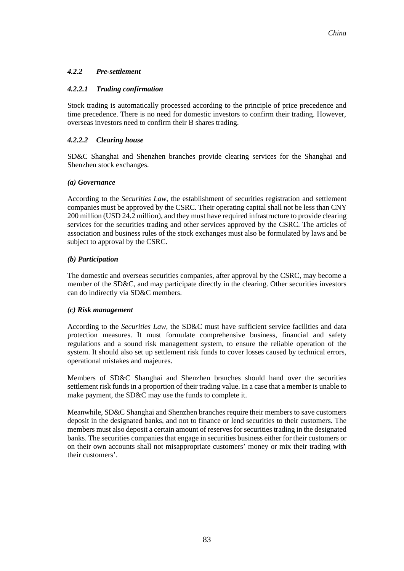#### *4.2.2 Pre-settlement*

#### *4.2.2.1 Trading confirmation*

Stock trading is automatically processed according to the principle of price precedence and time precedence. There is no need for domestic investors to confirm their trading. However, overseas investors need to confirm their B shares trading.

#### *4.2.2.2 Clearing house*

SD&C Shanghai and Shenzhen branches provide clearing services for the Shanghai and Shenzhen stock exchanges.

#### *(a) Governance*

According to the *Securities Law*, the establishment of securities registration and settlement companies must be approved by the CSRC. Their operating capital shall not be less than CNY 200 million (USD 24.2 million), and they must have required infrastructure to provide clearing services for the securities trading and other services approved by the CSRC. The articles of association and business rules of the stock exchanges must also be formulated by laws and be subject to approval by the CSRC.

#### *(b) Participation*

The domestic and overseas securities companies, after approval by the CSRC, may become a member of the SD&C, and may participate directly in the clearing. Other securities investors can do indirectly via SD&C members.

#### *(c) Risk management*

According to the *Securities Law*, the SD&C must have sufficient service facilities and data protection measures. It must formulate comprehensive business, financial and safety regulations and a sound risk management system, to ensure the reliable operation of the system. It should also set up settlement risk funds to cover losses caused by technical errors, operational mistakes and majeures.

Members of SD&C Shanghai and Shenzhen branches should hand over the securities settlement risk funds in a proportion of their trading value. In a case that a member is unable to make payment, the SD&C may use the funds to complete it.

Meanwhile, SD&C Shanghai and Shenzhen branches require their members to save customers deposit in the designated banks, and not to finance or lend securities to their customers. The members must also deposit a certain amount of reserves for securities trading in the designated banks. The securities companies that engage in securities business either for their customers or on their own accounts shall not misappropriate customers' money or mix their trading with their customers'.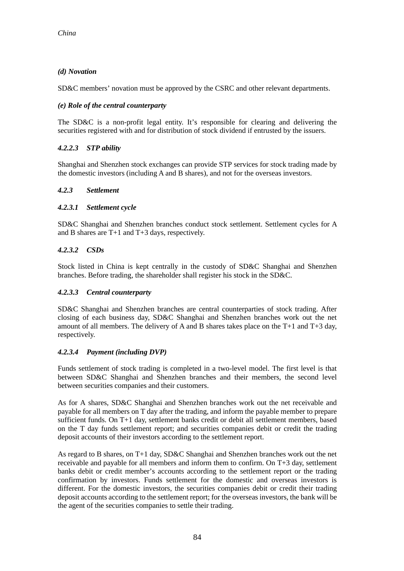#### *(d) Novation*

SD&C members' novation must be approved by the CSRC and other relevant departments.

#### *(e) Role of the central counterparty*

The SD&C is a non-profit legal entity. It's responsible for clearing and delivering the securities registered with and for distribution of stock dividend if entrusted by the issuers.

#### *4.2.2.3 STP ability*

Shanghai and Shenzhen stock exchanges can provide STP services for stock trading made by the domestic investors (including A and B shares), and not for the overseas investors.

#### *4.2.3 Settlement*

#### *4.2.3.1 Settlement cycle*

SD&C Shanghai and Shenzhen branches conduct stock settlement. Settlement cycles for A and B shares are T+1 and T+3 days, respectively.

#### *4.2.3.2 CSDs*

Stock listed in China is kept centrally in the custody of SD&C Shanghai and Shenzhen branches. Before trading, the shareholder shall register his stock in the SD&C.

#### *4.2.3.3 Central counterparty*

SD&C Shanghai and Shenzhen branches are central counterparties of stock trading. After closing of each business day, SD&C Shanghai and Shenzhen branches work out the net amount of all members. The delivery of A and B shares takes place on the T+1 and T+3 day, respectively.

#### *4.2.3.4 Payment (including DVP)*

Funds settlement of stock trading is completed in a two-level model. The first level is that between SD&C Shanghai and Shenzhen branches and their members, the second level between securities companies and their customers.

As for A shares, SD&C Shanghai and Shenzhen branches work out the net receivable and payable for all members on T day after the trading, and inform the payable member to prepare sufficient funds. On T+1 day, settlement banks credit or debit all settlement members, based on the T day funds settlement report; and securities companies debit or credit the trading deposit accounts of their investors according to the settlement report.

As regard to B shares, on T+1 day, SD&C Shanghai and Shenzhen branches work out the net receivable and payable for all members and inform them to confirm. On T+3 day, settlement banks debit or credit member's accounts according to the settlement report or the trading confirmation by investors. Funds settlement for the domestic and overseas investors is different. For the domestic investors, the securities companies debit or credit their trading deposit accounts according to the settlement report; for the overseas investors, the bank will be the agent of the securities companies to settle their trading.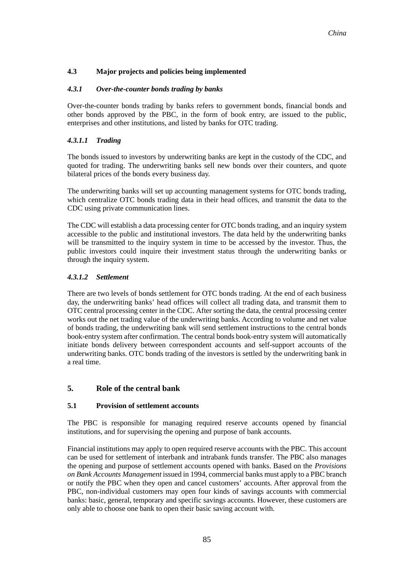#### **4.3 Major projects and policies being implemented**

#### *4.3.1 Over-the-counter bonds trading by banks*

Over-the-counter bonds trading by banks refers to government bonds, financial bonds and other bonds approved by the PBC, in the form of book entry, are issued to the public, enterprises and other institutions, and listed by banks for OTC trading.

#### *4.3.1.1 Trading*

The bonds issued to investors by underwriting banks are kept in the custody of the CDC, and quoted for trading. The underwriting banks sell new bonds over their counters, and quote bilateral prices of the bonds every business day.

The underwriting banks will set up accounting management systems for OTC bonds trading, which centralize OTC bonds trading data in their head offices, and transmit the data to the CDC using private communication lines.

The CDC will establish a data processing center for OTC bonds trading, and an inquiry system accessible to the public and institutional investors. The data held by the underwriting banks will be transmitted to the inquiry system in time to be accessed by the investor. Thus, the public investors could inquire their investment status through the underwriting banks or through the inquiry system.

#### *4.3.1.2 Settlement*

There are two levels of bonds settlement for OTC bonds trading. At the end of each business day, the underwriting banks' head offices will collect all trading data, and transmit them to OTC central processing center in the CDC. After sorting the data, the central processing center works out the net trading value of the underwriting banks. According to volume and net value of bonds trading, the underwriting bank will send settlement instructions to the central bonds book-entry system after confirmation. The central bonds book-entry system will automatically initiate bonds delivery between correspondent accounts and self-support accounts of the underwriting banks. OTC bonds trading of the investors is settled by the underwriting bank in a real time.

#### **5. Role of the central bank**

#### **5.1 Provision of settlement accounts**

The PBC is responsible for managing required reserve accounts opened by financial institutions, and for supervising the opening and purpose of bank accounts.

Financial institutions may apply to open required reserve accounts with the PBC. This account can be used for settlement of interbank and intrabank funds transfer. The PBC also manages the opening and purpose of settlement accounts opened with banks. Based on the *Provisions on Bank Accounts Management* issued in 1994, commercial banks must apply to a PBC branch or notify the PBC when they open and cancel customers' accounts. After approval from the PBC, non-individual customers may open four kinds of savings accounts with commercial banks: basic, general, temporary and specific savings accounts. However, these customers are only able to choose one bank to open their basic saving account with.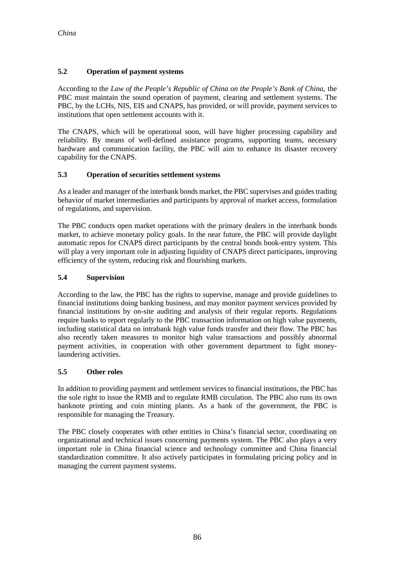#### **5.2 Operation of payment systems**

According to the *Law of the People's Republic of China on the People's Bank of China,* the PBC must maintain the sound operation of payment, clearing and settlement systems. The PBC, by the LCHs, NIS, EIS and CNAPS, has provided, or will provide, payment services to institutions that open settlement accounts with it.

The CNAPS, which will be operational soon, will have higher processing capability and reliability. By means of well-defined assistance programs, supporting teams, necessary hardware and communication facility, the PBC will aim to enhance its disaster recovery capability for the CNAPS.

#### **5.3 Operation of securities settlement systems**

As a leader and manager of the interbank bonds market, the PBC supervises and guides trading behavior of market intermediaries and participants by approval of market access, formulation of regulations, and supervision.

The PBC conducts open market operations with the primary dealers in the interbank bonds market, to achieve monetary policy goals. In the near future, the PBC will provide daylight automatic repos for CNAPS direct participants by the central bonds book-entry system. This will play a very important role in adjusting liquidity of CNAPS direct participants, improving efficiency of the system, reducing risk and flourishing markets.

#### **5.4 Supervision**

According to the law, the PBC has the rights to supervise, manage and provide guidelines to financial institutions doing banking business, and may monitor payment services provided by financial institutions by on-site auditing and analysis of their regular reports. Regulations require banks to report regularly to the PBC transaction information on high value payments, including statistical data on intrabank high value funds transfer and their flow. The PBC has also recently taken measures to monitor high value transactions and possibly abnormal payment activities, in cooperation with other government department to fight moneylaundering activities.

#### **5.5 Other roles**

In addition to providing payment and settlement services to financial institutions, the PBC has the sole right to issue the RMB and to regulate RMB circulation. The PBC also runs its own banknote printing and coin minting plants. As a bank of the government, the PBC is responsible for managing the Treasury.

The PBC closely cooperates with other entities in China's financial sector, coordinating on organizational and technical issues concerning payments system. The PBC also plays a very important role in China financial science and technology committee and China financial standardization committee. It also actively participates in formulating pricing policy and in managing the current payment systems.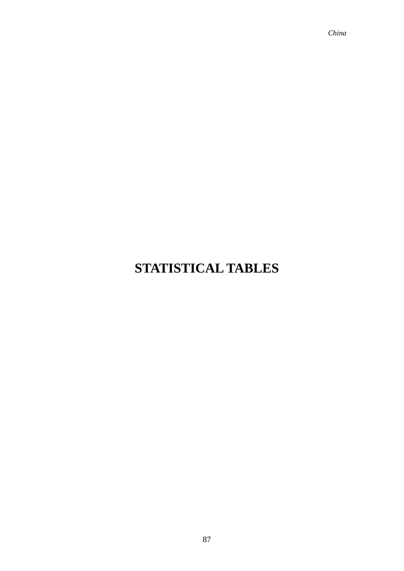*China*

## **STATISTICAL TABLES**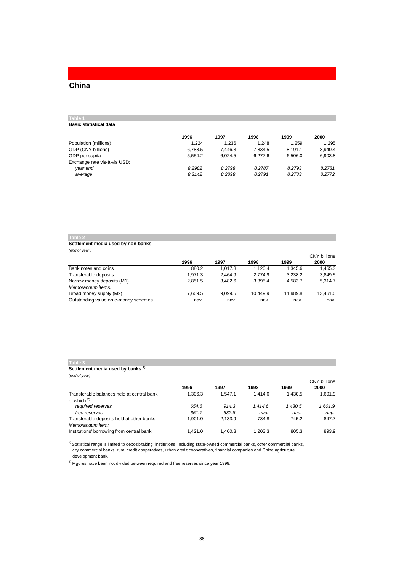### **China**

#### **Table 1 Basic statistical data**

|                              | 1996    | 1997    | 1998    | 1999    | 2000    |
|------------------------------|---------|---------|---------|---------|---------|
|                              |         |         |         |         |         |
| Population (millions)        | 1.224   | 1.236   | 1.248   | 1.259   | 1.295   |
| GDP (CNY billions)           | 6.788.5 | 7.446.3 | 7.834.5 | 8.191.1 | 8.940.4 |
| GDP per capita               | 5.554.2 | 6.024.5 | 6.277.6 | 6.506.0 | 6,903.8 |
| Exchange rate vis-à-vis USD: |         |         |         |         |         |
| year end                     | 8.2982  | 8.2798  | 8.2787  | 8.2793  | 8.2781  |
| average                      | 8.3142  | 8.2898  | 8.2791  | 8.2783  | 8.2772  |
|                              |         |         |         |         |         |

#### **Table 2**

#### **Settlement media used by non-banks** *(end of year )*

|                                      | 1996    | 1997    | 1998     | 1999     | CNY billions<br>2000 |
|--------------------------------------|---------|---------|----------|----------|----------------------|
| Bank notes and coins                 | 880.2   | 1.017.8 | 1.120.4  | 1.345.6  | 1.465.3              |
| Transferable deposits                | 1.971.3 | 2.464.9 | 2.774.9  | 3.238.2  | 3.849.5              |
| Narrow money deposits (M1)           | 2.851.5 | 3.482.6 | 3.895.4  | 4.583.7  | 5.314.7              |
| Memorandum items:                    |         |         |          |          |                      |
| Broad money supply (M2)              | 7.609.5 | 9.099.5 | 10.449.9 | 11.989.8 | 13.461.0             |
| Outstanding value on e-money schemes | nav.    | nav.    | nav.     | nav.     | nav.                 |

#### **Table 3**

#### **Settlement media used by banks 1)** *(end of year)*

|                                                               | 1996    | 1997    | 1998    | 1999    | <b>CNY billions</b><br>2000 |
|---------------------------------------------------------------|---------|---------|---------|---------|-----------------------------|
| Transferable balances held at central bank                    | 1.306.3 | 1.547.1 | 1.414.6 | 1.430.5 | 1.601.9                     |
| of which $2$ :<br>required reserves                           | 654.6   | 914.3   | 1.414.6 | 1.430.5 | 1,601.9                     |
| free reserves                                                 | 651.7   | 632.8   | nap.    | nap.    | nap.                        |
| Transferable deposits held at other banks<br>Memorandum item: | 1.901.0 | 2.133.9 | 784.8   | 745.2   | 847.7                       |
| Institutions' borrowing from central bank                     | 1.421.0 | 1.400.3 | 1.203.3 | 805.3   | 893.9                       |

 development bank. <sup>1)</sup> Statistical range is limited to deposit-taking institutions, including state-owned commercial banks, other commercial banks, city commercial banks, rural credit cooperatives, urban credit cooperatives, financial companies and China agriculture

 $2)$  Figures have been not divided between required and free reserves since year 1998.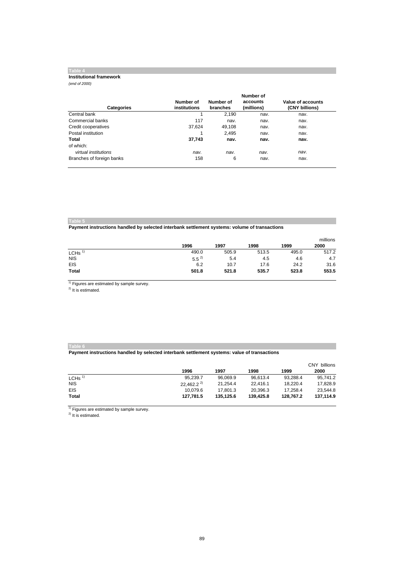#### **Table 4**

#### **Institutional framework**

*(end of 2000)*

|                           |                           |                       | Number of              |                                     |
|---------------------------|---------------------------|-----------------------|------------------------|-------------------------------------|
| <b>Categories</b>         | Number of<br>institutions | Number of<br>branches | accounts<br>(millions) | Value of accounts<br>(CNY billions) |
| Central bank              |                           | 2.190                 | nav.                   | nav.                                |
| Commercial banks          | 117                       | nav.                  | nav.                   | nav.                                |
| Credit cooperatives       | 37,624                    | 49.108                | nav.                   | nav.                                |
| Postal institution        |                           | 2.495                 | nav.                   | nav.                                |
| Total                     | 37,743                    | nav.                  | nav.                   | nav.                                |
| of which:                 |                           |                       |                        |                                     |
| virtual institutions      | nav.                      | nav.                  | nav.                   | nav.                                |
| Branches of foreign banks | 158                       | 6                     | nav.                   | nav.                                |

**Table 5**

**Payment instructions handled by selected interbank settlement systems: volume of transactions**

|                      |           |       |       |       | millions |
|----------------------|-----------|-------|-------|-------|----------|
|                      | 1996      | 1997  | 1998  | 1999  | 2000     |
| $LCHS$ <sup>1)</sup> | 490.0     | 505.9 | 513.5 | 495.0 | 517.2    |
| <b>NIS</b>           | $5.5^{2}$ | 5.4   | 4.5   | 4.6   | 4.7      |
| <b>EIS</b>           | 6.2       | 10.7  | 17.6  | 24.2  | 31.6     |
| <b>Total</b>         | 501.8     | 521.8 | 535.7 | 523.8 | 553.5    |

<sup>1)</sup> Figures are estimated by sample survey.

 $^{2)}$  It is estimated.

#### **Table 6**

**Payment instructions handled by selected interbank settlement systems: value of transactions**

|                   |                |           |           |           | CNY billions |  |
|-------------------|----------------|-----------|-----------|-----------|--------------|--|
|                   | 1996           | 1997      | 1998      | 1999      | 2000         |  |
| LCHs <sup>1</sup> | 95.239.7       | 96,069.9  | 96.613.4  | 93.288.4  | 95.741.2     |  |
| <b>NIS</b>        | $22.462.2^{2}$ | 21,254.4  | 22.416.1  | 18.220.4  | 17,828.9     |  |
| <b>EIS</b>        | 10.079.6       | 17.801.3  | 20.396.3  | 17.258.4  | 23.544.8     |  |
| <b>Total</b>      | 127.781.5      | 135.125.6 | 139.425.8 | 128.767.2 | 137.114.9    |  |

 $1)$  Figures are estimated by sample survey.

<sup>2)</sup> It is estimated.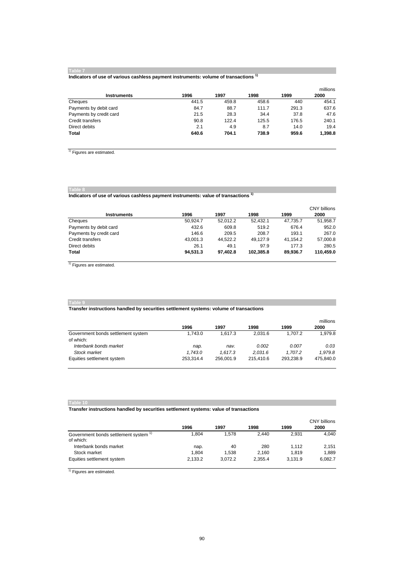#### **Table 7**

#### **Indicators of use of various cashless payment instruments: volume of transactions 1)**

| <b>Instruments</b>      | 1996  | 1997  | 1998  | 1999  | millions<br>2000 |
|-------------------------|-------|-------|-------|-------|------------------|
| Cheques                 | 441.5 | 459.8 | 458.6 | 440   | 454.1            |
| Payments by debit card  | 84.7  | 88.7  | 111.7 | 291.3 | 637.6            |
| Payments by credit card | 21.5  | 28.3  | 34.4  | 37.8  | 47.6             |
| Credit transfers        | 90.8  | 122.4 | 125.5 | 176.5 | 240.1            |
| Direct debits           | 2.1   | 4.9   | 8.7   | 14.0  | 19.4             |
| Total                   | 640.6 | 704.1 | 738.9 | 959.6 | 1,398.8          |

<sup>1)</sup> Figures are estimated.

## **Table 8 Indicators of use of various cashless payment instruments: value of transactions 1)**

|                         |          |          |           |          | <b>CNY billions</b> |
|-------------------------|----------|----------|-----------|----------|---------------------|
| <b>Instruments</b>      | 1996     | 1997     | 1998      | 1999     | 2000                |
| Cheques                 | 50.924.7 | 52.012.2 | 52.432.1  | 47.735.7 | 51.958.7            |
| Payments by debit card  | 432.6    | 609.8    | 519.2     | 676.4    | 952.0               |
| Payments by credit card | 146.6    | 209.5    | 208.7     | 193.1    | 267.0               |
| Credit transfers        | 43.001.3 | 44.522.2 | 49.127.9  | 41.154.2 | 57,000.8            |
| Direct debits           | 26.1     | 49.1     | 97.9      | 177.3    | 280.5               |
| Total                   | 94.531.3 | 97.402.8 | 102.385.8 | 89.936.7 | 110.459.0           |

<sup>1)</sup> Figures are estimated.

#### **Table 9**

#### **Transfer instructions handled by securities settlement systems: volume of transactions**

|                                    |           |           |           |           | millions  |  |
|------------------------------------|-----------|-----------|-----------|-----------|-----------|--|
|                                    | 1996      | 1997      | 1998      | 1999      | 2000      |  |
| Government bonds settlement system | 1.743.0   | 1.617.3   | 2.031.6   | 1.707.2   | 1.979.8   |  |
| of which:                          |           |           |           |           |           |  |
| Interbank bonds market             | nap.      | nav.      | 0.002     | 0.007     | 0.03      |  |
| Stock market                       | 1.743.0   | 1.617.3   | 2.031.6   | 1.707.2   | 1.979.8   |  |
| Equities settlement system         | 253.314.4 | 256,001.9 | 215.410.6 | 293.238.9 | 475,840.0 |  |

#### **Table 10**

#### **Transfer instructions handled by securities settlement systems: value of transactions**

|                                                    | 1996    | 1997    | 1998    | 1999    | <b>CNY billions</b><br>2000 |
|----------------------------------------------------|---------|---------|---------|---------|-----------------------------|
| Government bonds settlement system 1)<br>of which: | 1.804   | 1.578   | 2.440   | 2.931   | 4.040                       |
| Interbank bonds market                             | nap.    | 40      | 280     | 1.112   | 2.151                       |
| Stock market                                       | 1.804   | 1.538   | 2.160   | 1.819   | 1.889                       |
| Equities settlement system                         | 2.133.2 | 3.072.2 | 2.355.4 | 3.131.9 | 6,082.7                     |

<sup>1)</sup> Figures are estimated.